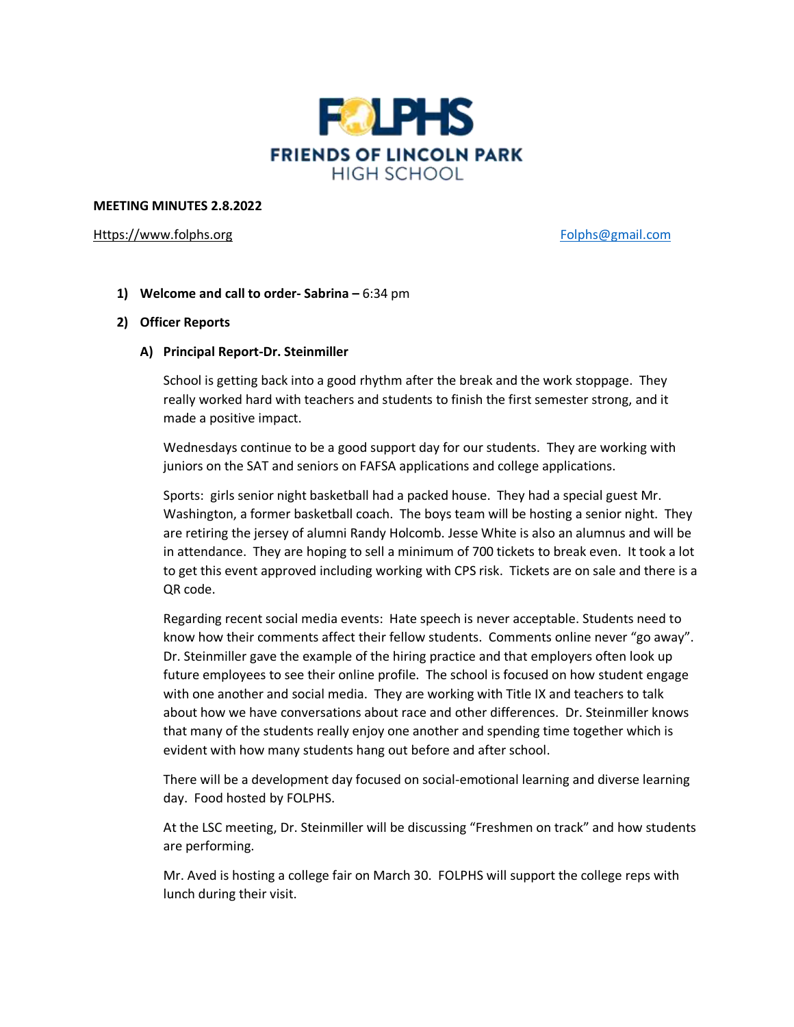

### **MEETING MINUTES 2.8.2022**

## [Https://www.folphs.org](https://www.folphs.org/) example and the state of the [Folphs@gmail.com](mailto:Folphs@gmail.com)

**1) Welcome and call to order- Sabrina –** 6:34 pm

## **2) Officer Reports**

## **A) Principal Report-Dr. Steinmiller**

School is getting back into a good rhythm after the break and the work stoppage. They really worked hard with teachers and students to finish the first semester strong, and it made a positive impact.

Wednesdays continue to be a good support day for our students. They are working with juniors on the SAT and seniors on FAFSA applications and college applications.

Sports: girls senior night basketball had a packed house. They had a special guest Mr. Washington, a former basketball coach. The boys team will be hosting a senior night. They are retiring the jersey of alumni Randy Holcomb. Jesse White is also an alumnus and will be in attendance. They are hoping to sell a minimum of 700 tickets to break even. It took a lot to get this event approved including working with CPS risk. Tickets are on sale and there is a QR code.

Regarding recent social media events: Hate speech is never acceptable. Students need to know how their comments affect their fellow students. Comments online never "go away". Dr. Steinmiller gave the example of the hiring practice and that employers often look up future employees to see their online profile. The school is focused on how student engage with one another and social media. They are working with Title IX and teachers to talk about how we have conversations about race and other differences. Dr. Steinmiller knows that many of the students really enjoy one another and spending time together which is evident with how many students hang out before and after school.

There will be a development day focused on social-emotional learning and diverse learning day. Food hosted by FOLPHS.

At the LSC meeting, Dr. Steinmiller will be discussing "Freshmen on track" and how students are performing.

Mr. Aved is hosting a college fair on March 30. FOLPHS will support the college reps with lunch during their visit.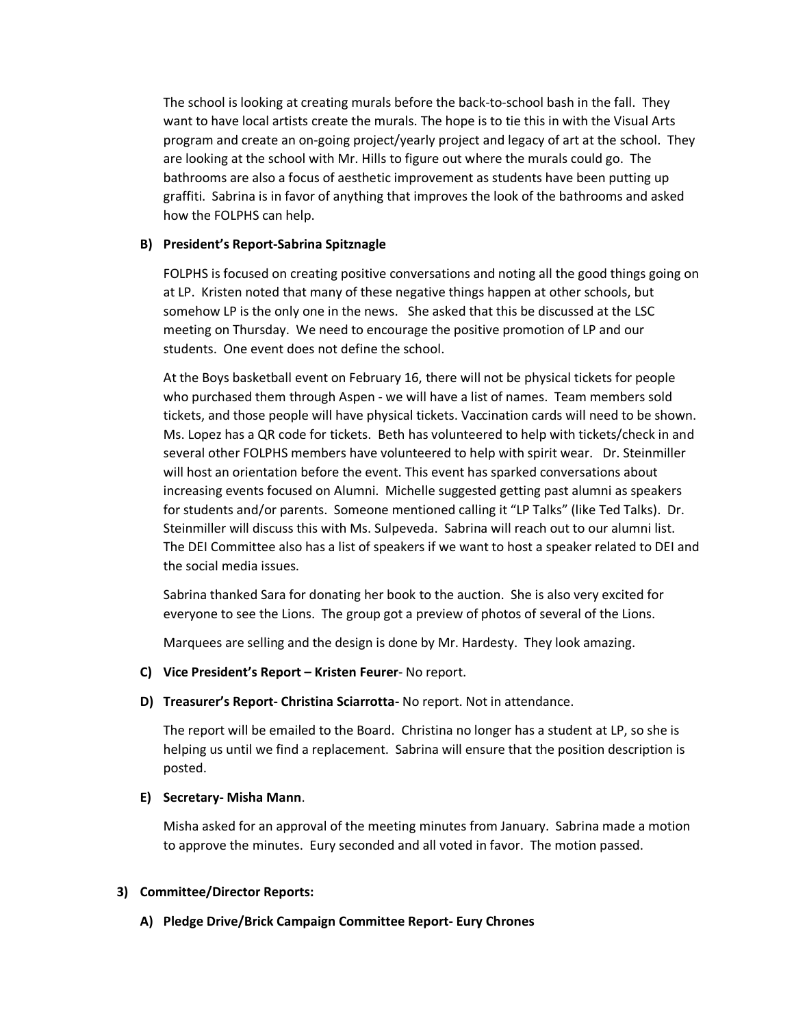The school is looking at creating murals before the back-to-school bash in the fall. They want to have local artists create the murals. The hope is to tie this in with the Visual Arts program and create an on-going project/yearly project and legacy of art at the school. They are looking at the school with Mr. Hills to figure out where the murals could go. The bathrooms are also a focus of aesthetic improvement as students have been putting up graffiti. Sabrina is in favor of anything that improves the look of the bathrooms and asked how the FOLPHS can help.

## **B) President's Report-Sabrina Spitznagle**

FOLPHS is focused on creating positive conversations and noting all the good things going on at LP. Kristen noted that many of these negative things happen at other schools, but somehow LP is the only one in the news. She asked that this be discussed at the LSC meeting on Thursday. We need to encourage the positive promotion of LP and our students. One event does not define the school.

At the Boys basketball event on February 16, there will not be physical tickets for people who purchased them through Aspen - we will have a list of names. Team members sold tickets, and those people will have physical tickets. Vaccination cards will need to be shown. Ms. Lopez has a QR code for tickets. Beth has volunteered to help with tickets/check in and several other FOLPHS members have volunteered to help with spirit wear. Dr. Steinmiller will host an orientation before the event. This event has sparked conversations about increasing events focused on Alumni. Michelle suggested getting past alumni as speakers for students and/or parents. Someone mentioned calling it "LP Talks" (like Ted Talks). Dr. Steinmiller will discuss this with Ms. Sulpeveda. Sabrina will reach out to our alumni list. The DEI Committee also has a list of speakers if we want to host a speaker related to DEI and the social media issues.

Sabrina thanked Sara for donating her book to the auction. She is also very excited for everyone to see the Lions. The group got a preview of photos of several of the Lions.

Marquees are selling and the design is done by Mr. Hardesty. They look amazing.

**C) Vice President's Report – Kristen Feurer**- No report.

# **D) Treasurer's Report- Christina Sciarrotta-** No report. Not in attendance.

The report will be emailed to the Board. Christina no longer has a student at LP, so she is helping us until we find a replacement. Sabrina will ensure that the position description is posted.

# **E) Secretary- Misha Mann**.

Misha asked for an approval of the meeting minutes from January. Sabrina made a motion to approve the minutes. Eury seconded and all voted in favor. The motion passed.

# **3) Committee/Director Reports:**

**A) Pledge Drive/Brick Campaign Committee Report- Eury Chrones**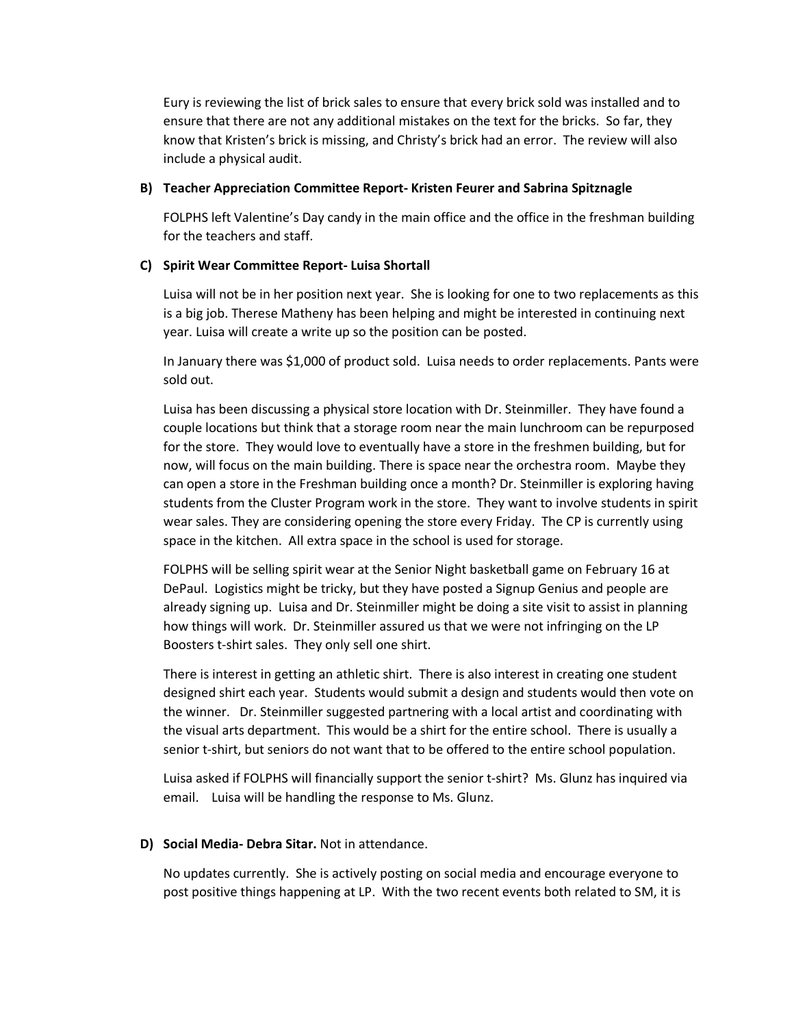Eury is reviewing the list of brick sales to ensure that every brick sold was installed and to ensure that there are not any additional mistakes on the text for the bricks. So far, they know that Kristen's brick is missing, and Christy's brick had an error. The review will also include a physical audit.

### **B) Teacher Appreciation Committee Report- Kristen Feurer and Sabrina Spitznagle**

FOLPHS left Valentine's Day candy in the main office and the office in the freshman building for the teachers and staff.

# **C) Spirit Wear Committee Report- Luisa Shortall**

Luisa will not be in her position next year. She is looking for one to two replacements as this is a big job. Therese Matheny has been helping and might be interested in continuing next year. Luisa will create a write up so the position can be posted.

In January there was \$1,000 of product sold. Luisa needs to order replacements. Pants were sold out.

Luisa has been discussing a physical store location with Dr. Steinmiller. They have found a couple locations but think that a storage room near the main lunchroom can be repurposed for the store. They would love to eventually have a store in the freshmen building, but for now, will focus on the main building. There is space near the orchestra room. Maybe they can open a store in the Freshman building once a month? Dr. Steinmiller is exploring having students from the Cluster Program work in the store. They want to involve students in spirit wear sales. They are considering opening the store every Friday. The CP is currently using space in the kitchen. All extra space in the school is used for storage.

FOLPHS will be selling spirit wear at the Senior Night basketball game on February 16 at DePaul. Logistics might be tricky, but they have posted a Signup Genius and people are already signing up. Luisa and Dr. Steinmiller might be doing a site visit to assist in planning how things will work. Dr. Steinmiller assured us that we were not infringing on the LP Boosters t-shirt sales. They only sell one shirt.

There is interest in getting an athletic shirt. There is also interest in creating one student designed shirt each year. Students would submit a design and students would then vote on the winner. Dr. Steinmiller suggested partnering with a local artist and coordinating with the visual arts department. This would be a shirt for the entire school. There is usually a senior t-shirt, but seniors do not want that to be offered to the entire school population.

Luisa asked if FOLPHS will financially support the senior t-shirt? Ms. Glunz has inquired via email. Luisa will be handling the response to Ms. Glunz.

# **D) Social Media- Debra Sitar.** Not in attendance.

No updates currently. She is actively posting on social media and encourage everyone to post positive things happening at LP. With the two recent events both related to SM, it is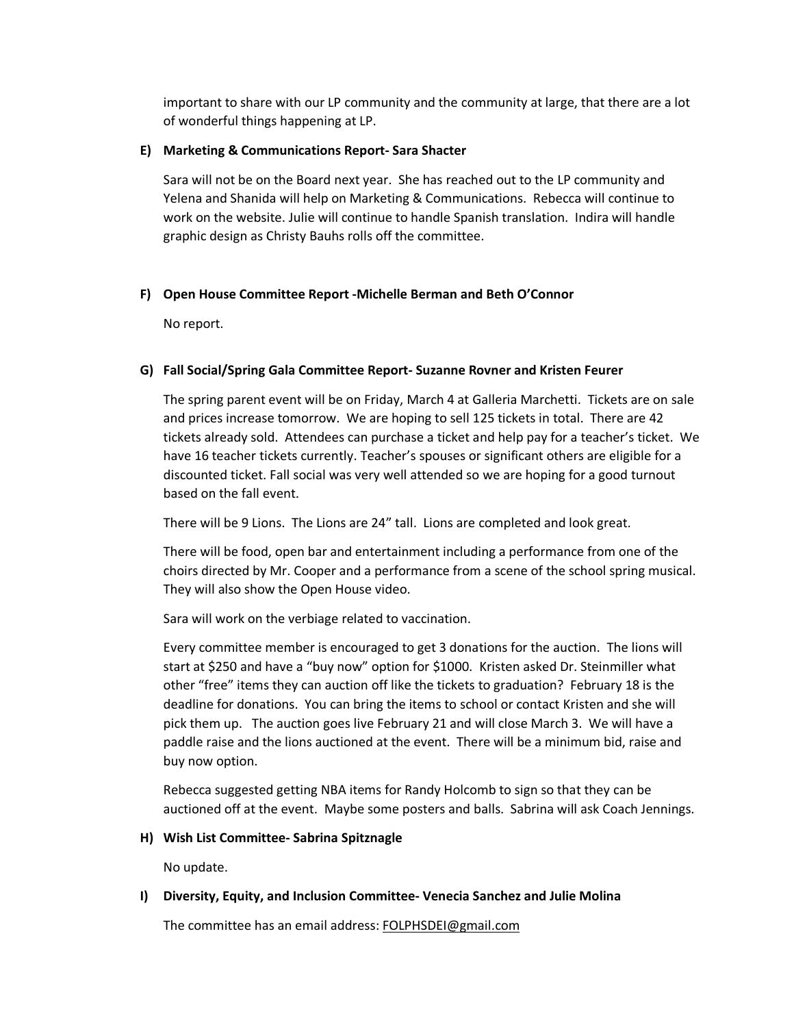important to share with our LP community and the community at large, that there are a lot of wonderful things happening at LP.

# **E) Marketing & Communications Report- Sara Shacter**

Sara will not be on the Board next year. She has reached out to the LP community and Yelena and Shanida will help on Marketing & Communications. Rebecca will continue to work on the website. Julie will continue to handle Spanish translation. Indira will handle graphic design as Christy Bauhs rolls off the committee.

# **F) Open House Committee Report -Michelle Berman and Beth O'Connor**

No report.

# **G) Fall Social/Spring Gala Committee Report- Suzanne Rovner and Kristen Feurer**

The spring parent event will be on Friday, March 4 at Galleria Marchetti. Tickets are on sale and prices increase tomorrow. We are hoping to sell 125 tickets in total. There are 42 tickets already sold. Attendees can purchase a ticket and help pay for a teacher's ticket. We have 16 teacher tickets currently. Teacher's spouses or significant others are eligible for a discounted ticket. Fall social was very well attended so we are hoping for a good turnout based on the fall event.

There will be 9 Lions. The Lions are 24" tall. Lions are completed and look great.

There will be food, open bar and entertainment including a performance from one of the choirs directed by Mr. Cooper and a performance from a scene of the school spring musical. They will also show the Open House video.

Sara will work on the verbiage related to vaccination.

Every committee member is encouraged to get 3 donations for the auction. The lions will start at \$250 and have a "buy now" option for \$1000. Kristen asked Dr. Steinmiller what other "free" items they can auction off like the tickets to graduation? February 18 is the deadline for donations. You can bring the items to school or contact Kristen and she will pick them up. The auction goes live February 21 and will close March 3. We will have a paddle raise and the lions auctioned at the event. There will be a minimum bid, raise and buy now option.

Rebecca suggested getting NBA items for Randy Holcomb to sign so that they can be auctioned off at the event. Maybe some posters and balls. Sabrina will ask Coach Jennings.

# **H) Wish List Committee- Sabrina Spitznagle**

No update.

# **I) Diversity, Equity, and Inclusion Committee- Venecia Sanchez and Julie Molina**

The committee has an email address: [FOLPHSDEI@gmail.com](mailto:FOLPHSDEI@gmail.com)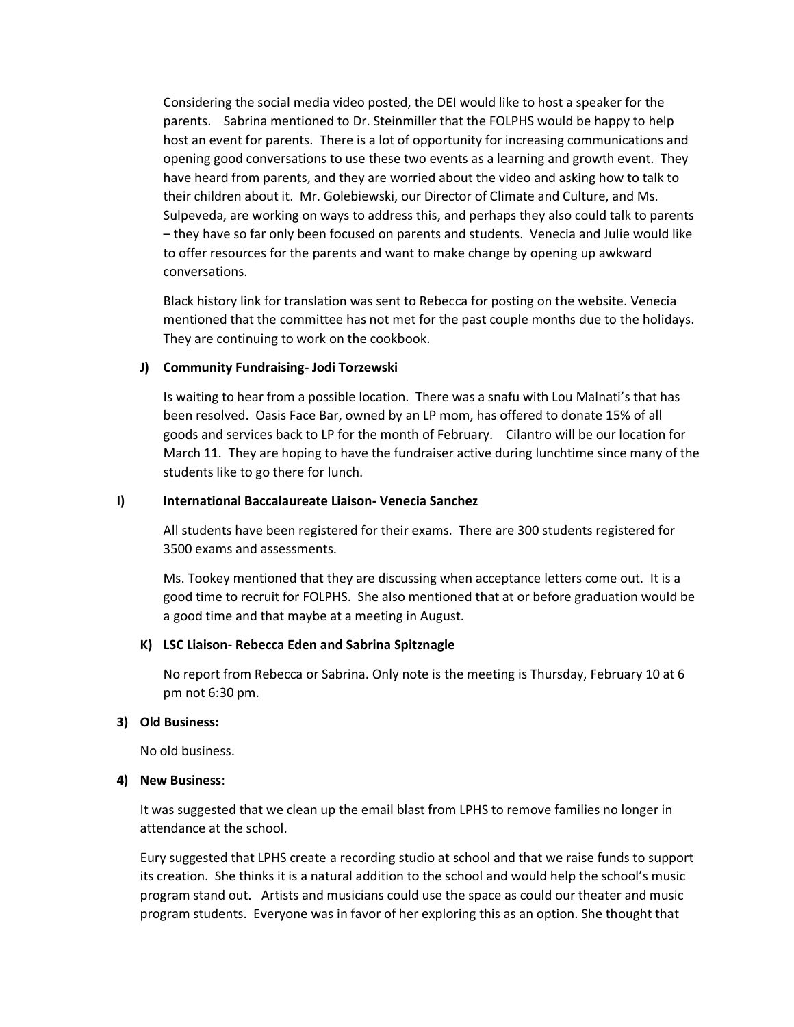Considering the social media video posted, the DEI would like to host a speaker for the parents. Sabrina mentioned to Dr. Steinmiller that the FOLPHS would be happy to help host an event for parents. There is a lot of opportunity for increasing communications and opening good conversations to use these two events as a learning and growth event. They have heard from parents, and they are worried about the video and asking how to talk to their children about it. Mr. Golebiewski, our Director of Climate and Culture, and Ms. Sulpeveda, are working on ways to address this, and perhaps they also could talk to parents – they have so far only been focused on parents and students. Venecia and Julie would like to offer resources for the parents and want to make change by opening up awkward conversations.

Black history link for translation was sent to Rebecca for posting on the website. Venecia mentioned that the committee has not met for the past couple months due to the holidays. They are continuing to work on the cookbook.

### **J) Community Fundraising- Jodi Torzewski**

Is waiting to hear from a possible location. There was a snafu with Lou Malnati's that has been resolved. Oasis Face Bar, owned by an LP mom, has offered to donate 15% of all goods and services back to LP for the month of February. Cilantro will be our location for March 11. They are hoping to have the fundraiser active during lunchtime since many of the students like to go there for lunch.

### **I) International Baccalaureate Liaison- Venecia Sanchez**

All students have been registered for their exams. There are 300 students registered for 3500 exams and assessments.

Ms. Tookey mentioned that they are discussing when acceptance letters come out. It is a good time to recruit for FOLPHS. She also mentioned that at or before graduation would be a good time and that maybe at a meeting in August.

## **K) LSC Liaison- Rebecca Eden and Sabrina Spitznagle**

No report from Rebecca or Sabrina. Only note is the meeting is Thursday, February 10 at 6 pm not 6:30 pm.

### **3) Old Business:**

No old business.

### **4) New Business**:

It was suggested that we clean up the email blast from LPHS to remove families no longer in attendance at the school.

Eury suggested that LPHS create a recording studio at school and that we raise funds to support its creation. She thinks it is a natural addition to the school and would help the school's music program stand out. Artists and musicians could use the space as could our theater and music program students. Everyone was in favor of her exploring this as an option. She thought that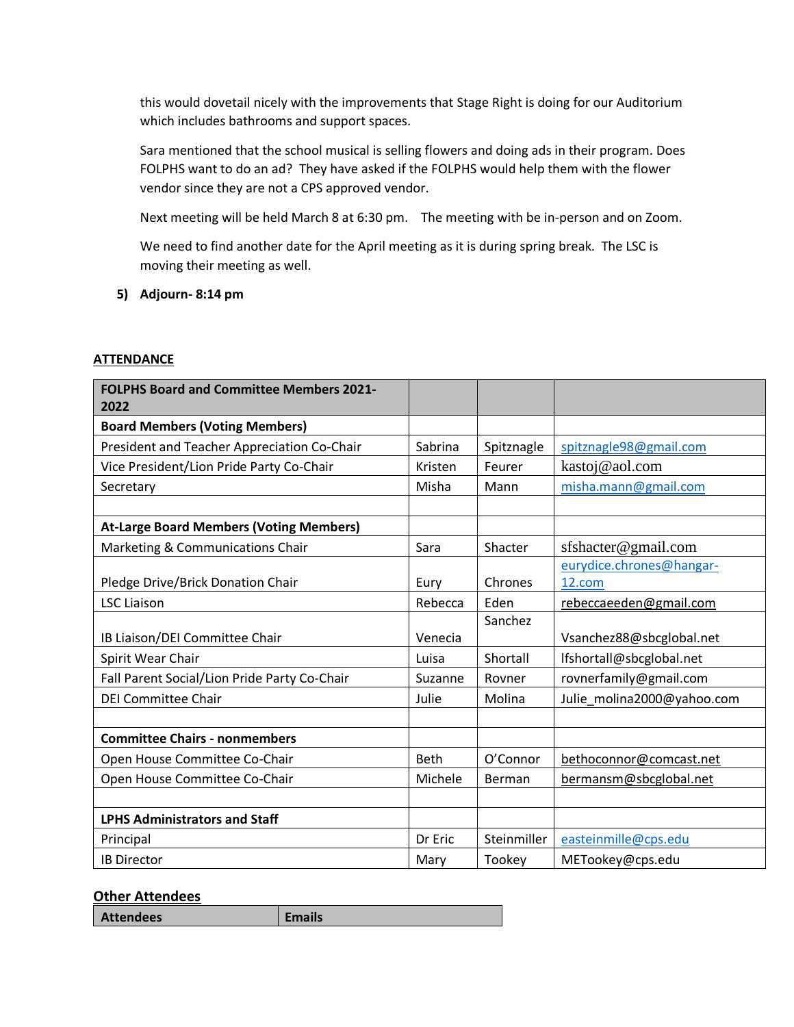this would dovetail nicely with the improvements that Stage Right is doing for our Auditorium which includes bathrooms and support spaces.

Sara mentioned that the school musical is selling flowers and doing ads in their program. Does FOLPHS want to do an ad? They have asked if the FOLPHS would help them with the flower vendor since they are not a CPS approved vendor.

Next meeting will be held March 8 at 6:30 pm. The meeting with be in-person and on Zoom.

We need to find another date for the April meeting as it is during spring break. The LSC is moving their meeting as well.

**5) Adjourn- 8:14 pm**

# **ATTENDANCE**

| <b>FOLPHS Board and Committee Members 2021-</b><br>2022 |             |             |                            |
|---------------------------------------------------------|-------------|-------------|----------------------------|
| <b>Board Members (Voting Members)</b>                   |             |             |                            |
| President and Teacher Appreciation Co-Chair             | Sabrina     | Spitznagle  | spitznagle98@gmail.com     |
| Vice President/Lion Pride Party Co-Chair                | Kristen     | Feurer      | kastoj@aol.com             |
| Secretary                                               | Misha       | Mann        | misha.mann@gmail.com       |
|                                                         |             |             |                            |
| <b>At-Large Board Members (Voting Members)</b>          |             |             |                            |
| Marketing & Communications Chair                        | Sara        | Shacter     | sfshacter@gmail.com        |
|                                                         |             |             | eurydice.chrones@hangar-   |
| Pledge Drive/Brick Donation Chair                       | Eury        | Chrones     | 12.com                     |
| <b>LSC Liaison</b>                                      | Rebecca     | Eden        | rebeccaeeden@gmail.com     |
|                                                         |             | Sanchez     |                            |
| IB Liaison/DEI Committee Chair                          | Venecia     |             | Vsanchez88@sbcglobal.net   |
| Spirit Wear Chair                                       | Luisa       | Shortall    | lfshortall@sbcglobal.net   |
| Fall Parent Social/Lion Pride Party Co-Chair            | Suzanne     | Rovner      | rovnerfamily@gmail.com     |
| <b>DEI Committee Chair</b>                              | Julie       | Molina      | Julie_molina2000@yahoo.com |
|                                                         |             |             |                            |
| <b>Committee Chairs - nonmembers</b>                    |             |             |                            |
| Open House Committee Co-Chair                           | <b>Beth</b> | O'Connor    | bethoconnor@comcast.net    |
| Open House Committee Co-Chair                           | Michele     | Berman      | bermansm@sbcglobal.net     |
|                                                         |             |             |                            |
| <b>LPHS Administrators and Staff</b>                    |             |             |                            |
| Principal                                               | Dr Eric     | Steinmiller | easteinmille@cps.edu       |
| <b>IB Director</b>                                      | Mary        | Tookey      | METookey@cps.edu           |

# **Other Attendees**

| <b>Attendees</b> | <b>Emails</b> |
|------------------|---------------|
|------------------|---------------|